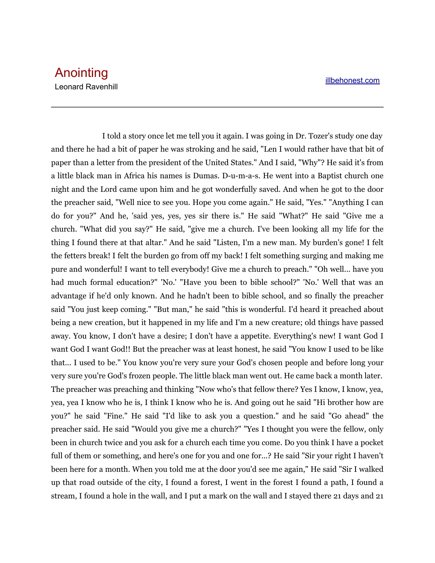I told a story once let me tell you it again. I was going in Dr. Tozer's study one day and there he had a bit of paper he was stroking and he said, "Len I would rather have that bit of paper than a letter from the president of the United States." And I said, "Why"? He said it's from a little black man in Africa his names is Dumas. D-u-m-a-s. He went into a Baptist church one night and the Lord came upon him and he got wonderfully saved. And when he got to the door the preacher said, "Well nice to see you. Hope you come again." He said, "Yes." "Anything I can do for you?" And he, 'said yes, yes, yes sir there is." He said "What?" He said "Give me a church. "What did you say?" He said, "give me a church. I've been looking all my life for the thing I found there at that altar." And he said "Listen, I'm a new man. My burden's gone! I felt the fetters break! I felt the burden go from off my back! I felt something surging and making me pure and wonderful! I want to tell everybody! Give me a church to preach." "Oh well... have you had much formal education?" 'No.' "Have you been to bible school?" 'No.' Well that was an advantage if he'd only known. And he hadn't been to bible school, and so finally the preacher said "You just keep coming." "But man," he said "this is wonderful. I'd heard it preached about being a new creation, but it happened in my life and I'm a new creature; old things have passed away. You know, I don't have a desire; I don't have a appetite. Everything's new! I want God I want God I want God!! But the preacher was at least honest, he said "You know I used to be like that... I used to be." You know you're very sure your God's chosen people and before long your very sure you're God's frozen people. The little black man went out. He came back a month later. The preacher was preaching and thinking "Now who's that fellow there? Yes I know, I know, yea, yea, yea I know who he is, I think I know who he is. And going out he said "Hi brother how are you?" he said "Fine." He said "I'd like to ask you a question." and he said "Go ahead" the preacher said. He said "Would you give me a church?" "Yes I thought you were the fellow, only been in church twice and you ask for a church each time you come. Do you think I have a pocket full of them or something, and here's one for you and one for...? He said "Sir your right I haven't been here for a month. When you told me at the door you'd see me again," He said "Sir I walked up that road outside of the city, I found a forest, I went in the forest I found a path, I found a stream, I found a hole in the wall, and I put a mark on the wall and I stayed there 21 days and 21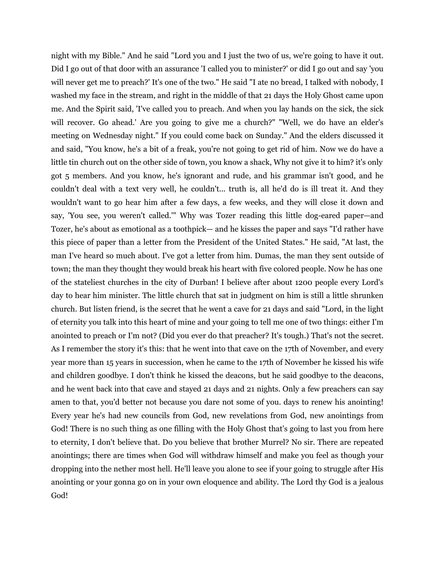night with my Bible." And he said "Lord you and I just the two of us, we're going to have it out. Did I go out of that door with an assurance 'I called you to minister?' or did I go out and say 'you will never get me to preach?' It's one of the two." He said "I ate no bread, I talked with nobody, I washed my face in the stream, and right in the middle of that 21 days the Holy Ghost came upon me. And the Spirit said, 'I've called you to preach. And when you lay hands on the sick, the sick will recover. Go ahead.' Are you going to give me a church?" "Well, we do have an elder's meeting on Wednesday night." If you could come back on Sunday." And the elders discussed it and said, "You know, he's a bit of a freak, you're not going to get rid of him. Now we do have a little tin church out on the other side of town, you know a shack, Why not give it to him? it's only got 5 members. And you know, he's ignorant and rude, and his grammar isn't good, and he couldn't deal with a text very well, he couldn't... truth is, all he'd do is ill treat it. And they wouldn't want to go hear him after a few days, a few weeks, and they will close it down and say, 'You see, you weren't called.'" Why was Tozer reading this little dog-eared paper—and Tozer, he's about as emotional as a toothpick— and he kisses the paper and says "I'd rather have this piece of paper than a letter from the President of the United States." He said, "At last, the man I've heard so much about. I've got a letter from him. Dumas, the man they sent outside of town; the man they thought they would break his heart with five colored people. Now he has one of the stateliest churches in the city of Durban! I believe after about 1200 people every Lord's day to hear him minister. The little church that sat in judgment on him is still a little shrunken church. But listen friend, is the secret that he went a cave for 21 days and said "Lord, in the light of eternity you talk into this heart of mine and your going to tell me one of two things: either I'm anointed to preach or I'm not? (Did you ever do that preacher? It's tough.) That's not the secret. As I remember the story it's this: that he went into that cave on the 17th of November, and every year more than 15 years in succession, when he came to the 17th of November he kissed his wife and children goodbye. I don't think he kissed the deacons, but he said goodbye to the deacons, and he went back into that cave and stayed 21 days and 21 nights. Only a few preachers can say amen to that, you'd better not because you dare not some of you. days to renew his anointing! Every year he's had new councils from God, new revelations from God, new anointings from God! There is no such thing as one filling with the Holy Ghost that's going to last you from here to eternity, I don't believe that. Do you believe that brother Murrel? No sir. There are repeated anointings; there are times when God will withdraw himself and make you feel as though your dropping into the nether most hell. He'll leave you alone to see if your going to struggle after His anointing or your gonna go on in your own eloquence and ability. The Lord thy God is a jealous God!